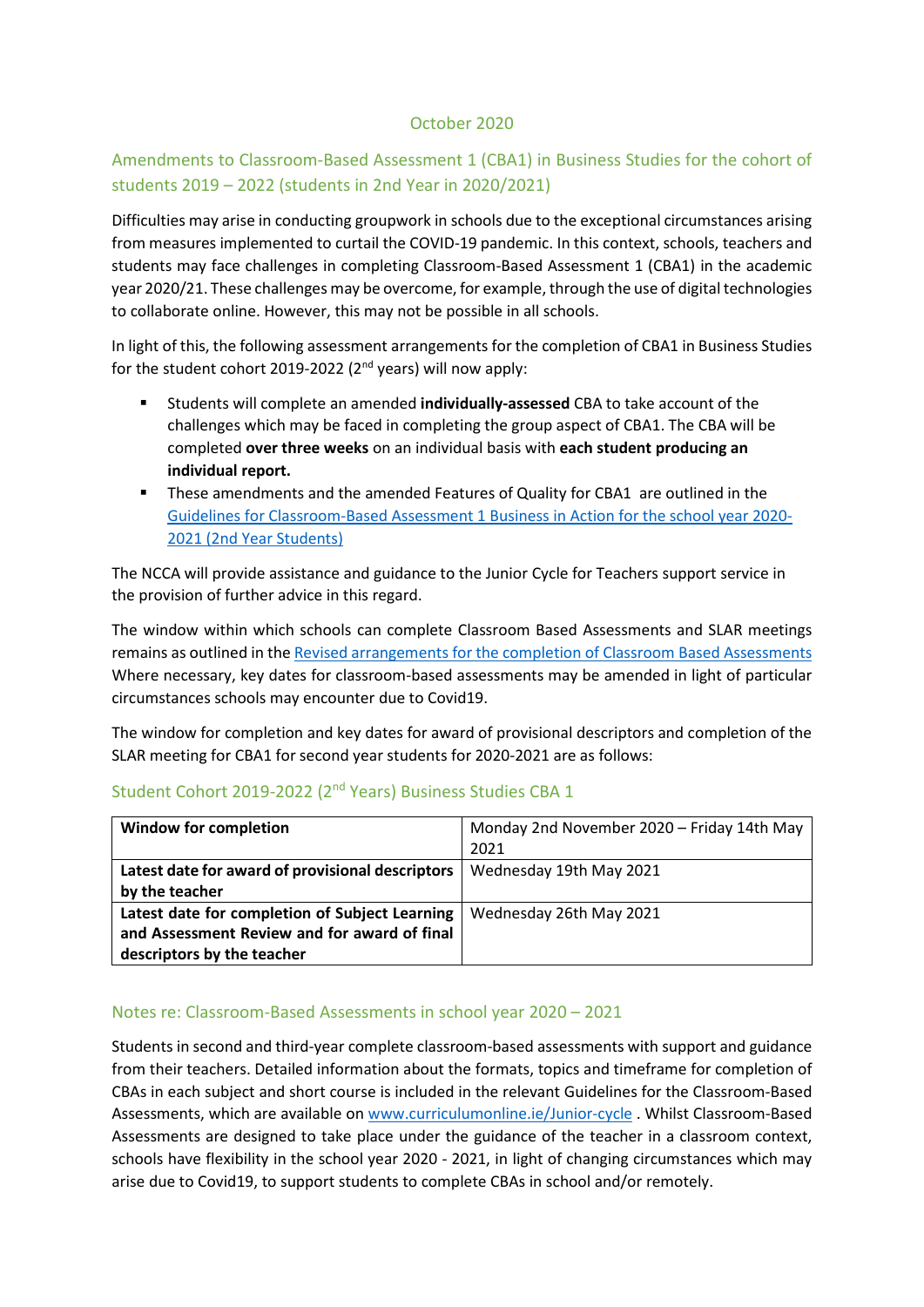## October 2020

## Amendments to Classroom-Based Assessment 1 (CBA1) in Business Studies for the cohort of students 2019 – 2022 (students in 2nd Year in 2020/2021)

Difficulties may arise in conducting groupwork in schools due to the exceptional circumstances arising from measures implemented to curtail the COVID-19 pandemic. In this context, schools, teachers and students may face challenges in completing Classroom-Based Assessment 1 (CBA1) in the academic year 2020/21. These challenges may be overcome, for example, through the use of digital technologies to collaborate online. However, this may not be possible in all schools.

In light of this, the following assessment arrangements for the completion of CBA1 in Business Studies for the student cohort 2019-2022 (2<sup>nd</sup> years) will now apply:

- Students will complete an amended **individually-assessed** CBA to take account of the challenges which may be faced in completing the group aspect of CBA1. The CBA will be completed **over three weeks** on an individual basis with **each student producing an individual report.**
- These amendments and the amended Features of Quality for CBA1 are outlined in the [Guidelines for Classroom-Based Assessment 1 Business in Action for the school year 2020-](https://www.curriculumonline.ie/getmedia/e181152b-4b92-4ba7-b94c-1db1acf4613e/AssessmentGL_CBA1_2020_21-2nd-Year_EN) [2021 \(2nd Year Students\)](https://www.curriculumonline.ie/getmedia/e181152b-4b92-4ba7-b94c-1db1acf4613e/AssessmentGL_CBA1_2020_21-2nd-Year_EN)

The NCCA will provide assistance and guidance to the Junior Cycle for Teachers support service in the provision of further advice in this regard.

The window within which schools can complete Classroom Based Assessments and SLAR meetings remains as outlined in th[e Revised arrangements for the completion of Classroom Based Assessments](https://ncca.ie/media/4684/ncca_cbas_for_student_cohort_2018-2021.pdf) Where necessary, key dates for classroom-based assessments may be amended in light of particular circumstances schools may encounter due to Covid19.

The window for completion and key dates for award of provisional descriptors and completion of the SLAR meeting for CBA1 for second year students for 2020-2021 are as follows:

## Student Cohort 2019-2022 (2nd Years) Business Studies CBA 1

| <b>Window for completion</b>                     | Monday 2nd November 2020 - Friday 14th May |
|--------------------------------------------------|--------------------------------------------|
|                                                  | 2021                                       |
| Latest date for award of provisional descriptors | Wednesday 19th May 2021                    |
| by the teacher                                   |                                            |
| Latest date for completion of Subject Learning   | Wednesday 26th May 2021                    |
| and Assessment Review and for award of final     |                                            |
| descriptors by the teacher                       |                                            |

## Notes re: Classroom-Based Assessments in school year 2020 – 2021

Students in second and third-year complete classroom-based assessments with support and guidance from their teachers. Detailed information about the formats, topics and timeframe for completion of CBAs in each subject and short course is included in the relevant Guidelines for the Classroom-Based Assessments, which are available on [www.curriculumonline.ie/Junior-cycle](http://www.curriculumonline.ie/Junior-cycle) . Whilst Classroom-Based Assessments are designed to take place under the guidance of the teacher in a classroom context, schools have flexibility in the school year 2020 - 2021, in light of changing circumstances which may arise due to Covid19, to support students to complete CBAs in school and/or remotely.